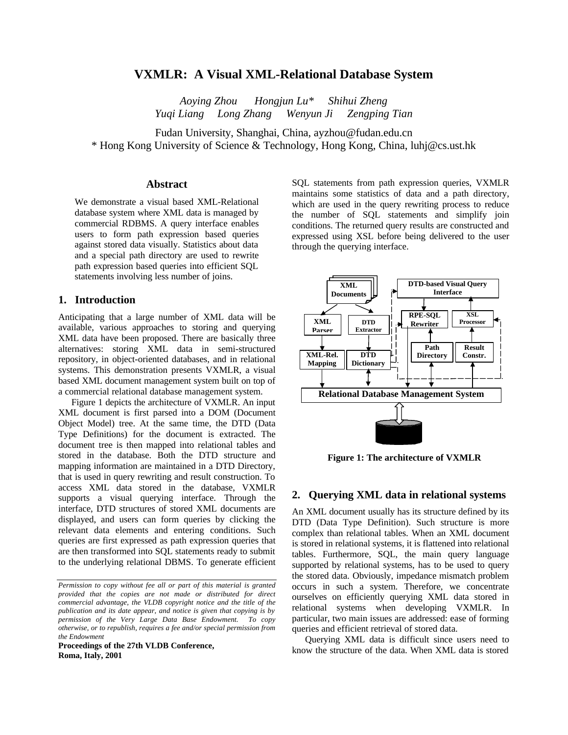# **VXMLR: A Visual XML-Relational Database System**

*Aoying Zhou Hongjun Lu\* Shihui Zheng Yuqi Liang Long Zhang Wenyun Ji Zengping Tian*

Fudan University, Shanghai, China, ayzhou@fudan.edu.cn \* Hong Kong University of Science & Technology, Hong Kong, China, luhj@cs.ust.hk

## **Abstract**

We demonstrate a visual based XML-Relational database system where XML data is managed by commercial RDBMS. A query interface enables users to form path expression based queries against stored data visually. Statistics about data and a special path directory are used to rewrite path expression based queries into efficient SQL statements involving less number of joins.

### **1. Introduction**

Anticipating that a large number of XML data will be available, various approaches to storing and querying XML data have been proposed. There are basically three alternatives: storing XML data in semi-structured repository, in object-oriented databases, and in relational systems. This demonstration presents VXMLR, a visual based XML document management system built on top of a commercial relational database management system.

Figure 1 depicts the architecture of VXMLR. An input XML document is first parsed into a DOM (Document Object Model) tree. At the same time, the DTD (Data Type Definitions) for the document is extracted. The document tree is then mapped into relational tables and stored in the database. Both the DTD structure and mapping information are maintained in a DTD Directory, that is used in query rewriting and result construction. To access XML data stored in the database, VXMLR supports a visual querying interface. Through the interface, DTD structures of stored XML documents are displayed, and users can form queries by clicking the relevant data elements and entering conditions. Such queries are first expressed as path expression queries that are then transformed into SQL statements ready to submit to the underlying relational DBMS. To generate efficient

**Proceedings of the 27th VLDB Conference, Roma, Italy, 2001**

SQL statements from path expression queries, VXMLR maintains some statistics of data and a path directory, which are used in the query rewriting process to reduce the number of SQL statements and simplify join conditions. The returned query results are constructed and expressed using XSL before being delivered to the user through the querying interface.



**Figure 1: The architecture of VXMLR**

## **2. Querying XML data in relational systems**

An XML document usually has its structure defined by its DTD (Data Type Definition). Such structure is more complex than relational tables. When an XML document is stored in relational systems, it is flattened into relational tables. Furthermore, SQL, the main query language supported by relational systems, has to be used to query the stored data. Obviously, impedance mismatch problem occurs in such a system. Therefore, we concentrate ourselves on efficiently querying XML data stored in relational systems when developing VXMLR. In particular, two main issues are addressed: ease of forming queries and efficient retrieval of stored data.

Querying XML data is difficult since users need to know the structure of the data. When XML data is stored

*Permission to copy without fee all or part of this material is granted provided that the copies are not made or distributed for direct commercial advantage, the VLDB copyright notice and the title of the publication and its date appear, and notice is given that copying is by permission of the Very Large Data Base Endowment. To copy otherwise, or to republish, requires a fee and/or special permission from the Endowment*